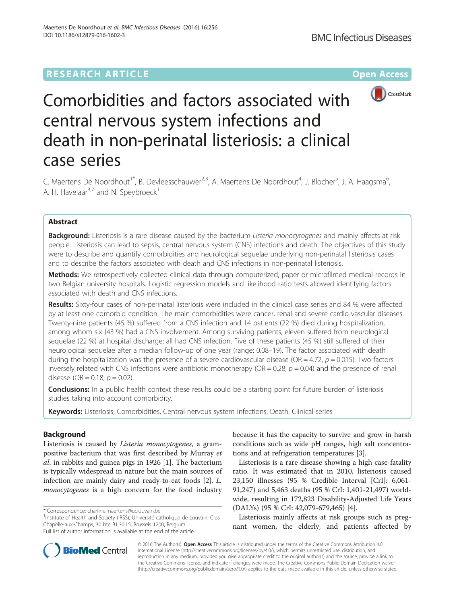## **RESEARCH ARTICLE External Structure Community Community Community Community Community Community Community Community**



# Comorbidities and factors associated with central nervous system infections and death in non-perinatal listeriosis: a clinical case series

C. Maertens De Noordhout<sup>1\*</sup>, B. Devleesschauwer<sup>2,3</sup>, A. Maertens De Noordhout<sup>4</sup>, J. Blocher<sup>5</sup>, J. A. Haagsma<sup>6</sup> , A. H. Havelaar<sup>3,7</sup> and N. Speybroeck<sup>1</sup>

## Abstract

Background: Listeriosis is a rare disease caused by the bacterium Listeria monocytogenes and mainly affects at risk people. Listeriosis can lead to sepsis, central nervous system (CNS) infections and death. The objectives of this study were to describe and quantify comorbidities and neurological sequelae underlying non-perinatal listeriosis cases and to describe the factors associated with death and CNS infections in non-perinatal listeriosis.

Methods: We retrospectively collected clinical data through computerized, paper or microfilmed medical records in two Belgian university hospitals. Logistic regression models and likelihood ratio tests allowed identifying factors associated with death and CNS infections.

Results: Sixty-four cases of non-perinatal listeriosis were included in the clinical case series and 84 % were affected by at least one comorbid condition. The main comorbidities were cancer, renal and severe cardio-vascular diseases. Twenty-nine patients (45 %) suffered from a CNS infection and 14 patients (22 %) died during hospitalization, among whom six (43 %) had a CNS involvement. Among surviving patients, eleven suffered from neurological sequelae (22 %) at hospital discharge; all had CNS infection. Five of these patients (45 %) still suffered of their neurological sequelae after a median follow-up of one year (range: 0.08–19). The factor associated with death during the hospitalization was the presence of a severe cardiovascular disease (OR = 4.72,  $p = 0.015$ ). Two factors inversely related with CNS infections were antibiotic monotherapy (OR = 0.28,  $p = 0.04$ ) and the presence of renal disease (OR = 0.18,  $p = 0.02$ ).

**Conclusions:** In a public health context these results could be a starting point for future burden of listeriosis studies taking into account comorbidity.

Keywords: Listeriosis, Comorbidities, Central nervous system infections, Death, Clinical series

## Background

Listeriosis is caused by Listeria monocytogenes, a grampositive bacterium that was first described by Murray et al. in rabbits and guinea pigs in 1926 [[1\]](#page-7-0). The bacterium is typically widespread in nature but the main sources of infection are mainly dairy and ready-to-eat foods [\[2\]](#page-7-0). L. monocytogenes is a high concern for the food industry

\* Correspondence: [charline.maertens@uclouvain.be](mailto:charline.maertens@uclouvain.be) <sup>1</sup>

<sup>1</sup>Institute of Health and Society (IRSS), Université catholique de Louvain, Clos Chapelle-aux-Champs, 30 bte B1.30.15, Brussels 1200, Belgium Full list of author information is available at the end of the article

because it has the capacity to survive and grow in harsh conditions such as wide pH ranges, high salt concentrations and at refrigeration temperatures [[3\]](#page-7-0).

Listeriosis is a rare disease showing a high case-fatality ratio. It was estimated that in 2010, listeriosis caused 23,150 illnesses (95 % Credible Interval [CrI]: 6,061- 91,247) and 5,463 deaths (95 % CrI: 1,401-21,497) worldwide, resulting in 172,823 Disability-Adjusted Life Years (DALYs) (95 % CrI: 42,079-679,465) [[4\]](#page-7-0).

Listeriosis mainly affects at risk groups such as pregnant women, the elderly, and patients affected by



© 2016 The Author(s). Open Access This article is distributed under the terms of the Creative Commons Attribution 4.0 International License [\(http://creativecommons.org/licenses/by/4.0/](http://creativecommons.org/licenses/by/4.0/)), which permits unrestricted use, distribution, and reproduction in any medium, provided you give appropriate credit to the original author(s) and the source, provide a link to the Creative Commons license, and indicate if changes were made. The Creative Commons Public Domain Dedication waiver [\(http://creativecommons.org/publicdomain/zero/1.0/](http://creativecommons.org/publicdomain/zero/1.0/)) applies to the data made available in this article, unless otherwise stated.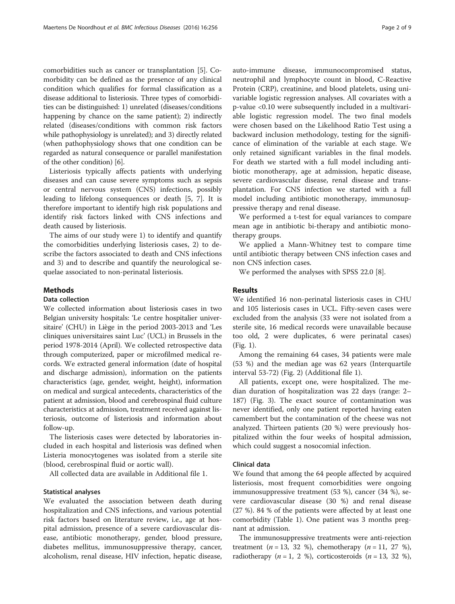comorbidities such as cancer or transplantation [\[5](#page-7-0)]. Comorbidity can be defined as the presence of any clinical condition which qualifies for formal classification as a disease additional to listeriosis. Three types of comorbidities can be distinguished: 1) unrelated (diseases/conditions happening by chance on the same patient); 2) indirectly related (diseases/conditions with common risk factors while pathophysiology is unrelated); and 3) directly related (when pathophysiology shows that one condition can be regarded as natural consequence or parallel manifestation of the other condition) [\[6](#page-7-0)].

Listeriosis typically affects patients with underlying diseases and can cause severe symptoms such as sepsis or central nervous system (CNS) infections, possibly leading to lifelong consequences or death [\[5](#page-7-0), [7](#page-8-0)]. It is therefore important to identify high risk populations and identify risk factors linked with CNS infections and death caused by listeriosis.

The aims of our study were 1) to identify and quantify the comorbidities underlying listeriosis cases, 2) to describe the factors associated to death and CNS infections and 3) and to describe and quantify the neurological sequelae associated to non-perinatal listeriosis.

### **Methods**

## Data collection

We collected information about listeriosis cases in two Belgian university hospitals: 'Le centre hospitalier universitaire' (CHU) in Liège in the period 2003-2013 and 'Les cliniques universitaires saint Luc' (UCL) in Brussels in the period 1978-2014 (April). We collected retrospective data through computerized, paper or microfilmed medical records. We extracted general information (date of hospital and discharge admission), information on the patients characteristics (age, gender, weight, height), information on medical and surgical antecedents, characteristics of the patient at admission, blood and cerebrospinal fluid culture characteristics at admission, treatment received against listeriosis, outcome of listeriosis and information about follow-up.

The listeriosis cases were detected by laboratories included in each hospital and listeriosis was defined when Listeria monocytogenes was isolated from a sterile site (blood, cerebrospinal fluid or aortic wall).

All collected data are available in Additional file [1](#page-7-0).

#### Statistical analyses

We evaluated the association between death during hospitalization and CNS infections, and various potential risk factors based on literature review, i.e., age at hospital admission, presence of a severe cardiovascular disease, antibiotic monotherapy, gender, blood pressure, diabetes mellitus, immunosuppressive therapy, cancer, alcoholism, renal disease, HIV infection, hepatic disease, auto-immune disease, immunocompromised status, neutrophil and lymphocyte count in blood, C-Reactive Protein (CRP), creatinine, and blood platelets, using univariable logistic regression analyses. All covariates with a p-value <0.10 were subsequently included in a multivariable logistic regression model. The two final models were chosen based on the Likelihood Ratio Test using a backward inclusion methodology, testing for the significance of elimination of the variable at each stage. We only retained significant variables in the final models. For death we started with a full model including antibiotic monotherapy, age at admission, hepatic disease, severe cardiovascular disease, renal disease and transplantation. For CNS infection we started with a full model including antibiotic monotherapy, immunosuppressive therapy and renal disease.

We performed a t-test for equal variances to compare mean age in antibiotic bi-therapy and antibiotic monotherapy groups.

We applied a Mann-Whitney test to compare time until antibiotic therapy between CNS infection cases and non CNS infection cases.

We performed the analyses with SPSS 22.0 [[8\]](#page-8-0).

## Results

We identified 16 non-perinatal listeriosis cases in CHU and 105 listeriosis cases in UCL. Fifty-seven cases were excluded from the analysis (33 were not isolated from a sterile site, 16 medical records were unavailable because too old, 2 were duplicates, 6 were perinatal cases) (Fig. [1](#page-2-0)).

Among the remaining 64 cases, 34 patients were male (53 %) and the median age was 62 years (Interquartile interval 53-72) (Fig. [2\)](#page-2-0) (Additional file [1](#page-7-0)).

All patients, except one, were hospitalized. The median duration of hospitalization was 22 days (range: 2– 187) (Fig. [3\)](#page-3-0). The exact source of contamination was never identified, only one patient reported having eaten camembert but the contamination of the cheese was not analyzed. Thirteen patients (20 %) were previously hospitalized within the four weeks of hospital admission, which could suggest a nosocomial infection.

#### Clinical data

We found that among the 64 people affected by acquired listeriosis, most frequent comorbidities were ongoing immunosuppressive treatment (53 %), cancer (34 %), severe cardiovascular disease (30 %) and renal disease (27 %). 84 % of the patients were affected by at least one comorbidity (Table [1](#page-3-0)). One patient was 3 months pregnant at admission.

The immunosuppressive treatments were anti-rejection treatment  $(n = 13, 32 \%)$ , chemotherapy  $(n = 11, 27 \%)$ , radiotherapy  $(n = 1, 2, 8)$ , corticosteroids  $(n = 13, 32, 8)$ ,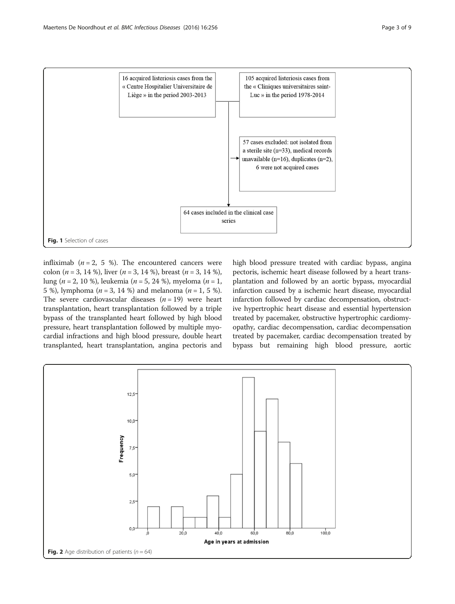<span id="page-2-0"></span>

infliximab ( $n = 2, 5$  %). The encountered cancers were colon ( $n = 3$ , 14 %), liver ( $n = 3$ , 14 %), breast ( $n = 3$ , 14 %), lung (*n* = 2, 10 %), leukemia (*n* = 5, 24 %), myeloma (*n* = 1, 5 %), lymphoma ( $n = 3$ , 14 %) and melanoma ( $n = 1, 5$  %). The severe cardiovascular diseases  $(n = 19)$  were heart transplantation, heart transplantation followed by a triple bypass of the transplanted heart followed by high blood pressure, heart transplantation followed by multiple myocardial infractions and high blood pressure, double heart transplanted, heart transplantation, angina pectoris and

high blood pressure treated with cardiac bypass, angina pectoris, ischemic heart disease followed by a heart transplantation and followed by an aortic bypass, myocardial infarction caused by a ischemic heart disease, myocardial infarction followed by cardiac decompensation, obstructive hypertrophic heart disease and essential hypertension treated by pacemaker, obstructive hypertrophic cardiomyopathy, cardiac decompensation, cardiac decompensation treated by pacemaker, cardiac decompensation treated by bypass but remaining high blood pressure, aortic

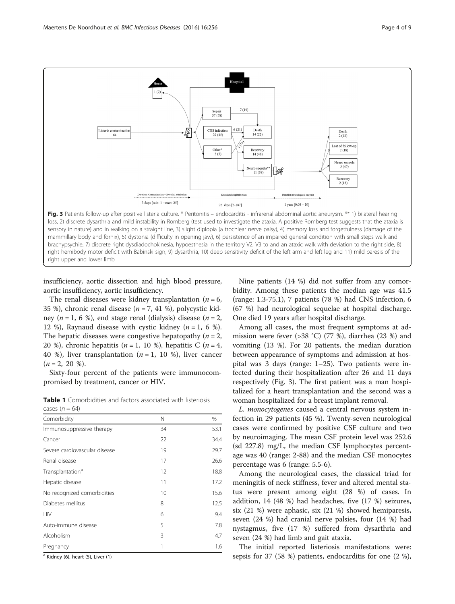<span id="page-3-0"></span>

insufficiency, aortic dissection and high blood pressure, aortic insufficiency, aortic insufficiency.

The renal diseases were kidney transplantation ( $n = 6$ , 35 %), chronic renal disease ( $n = 7, 41$  %), polycystic kidney ( $n = 1$ , 6 %), end stage renal (dialysis) disease ( $n = 2$ , 12 %), Raynaud disease with cystic kidney  $(n = 1, 6, 6)$ . The hepatic diseases were congestive hepatopathy ( $n = 2$ , 20 %), chronic hepatitis ( $n = 1$ , 10 %), hepatitis C ( $n = 4$ , 40 %), liver transplantation  $(n = 1, 10, 8)$ , liver cancer  $(n = 2, 20 \%)$ .

Sixty-four percent of the patients were immunocompromised by treatment, cancer or HIV.

Table 1 Comorbidities and factors associated with listeriosis cases  $(n = 64)$ 

| Comorbidity                   | Ν  | %    |
|-------------------------------|----|------|
| Immunosuppressive therapy     | 34 | 53.1 |
| Cancer                        | 22 | 34.4 |
| Severe cardiovascular disease | 19 | 29.7 |
| Renal disease                 | 17 | 26.6 |
| Transplantation <sup>a</sup>  | 12 | 18.8 |
| Hepatic disease               | 11 | 17.2 |
| No recognized comorbidities   | 10 | 15.6 |
| Diabetes mellitus             | 8  | 12.5 |
| <b>HIV</b>                    | 6  | 9.4  |
| Auto-immune disease           | 5  | 7.8  |
| Alcoholism                    | 3  | 4.7  |
| Pregnancy                     | 1  | 1.6  |

 $a$  Kidney (6), heart (5), Liver (1)

Nine patients (14 %) did not suffer from any comorbidity. Among these patients the median age was 41.5 (range: 1.3-75.1), 7 patients (78 %) had CNS infection, 6 (67 %) had neurological sequelae at hospital discharge. One died 19 years after hospital discharge.

Among all cases, the most frequent symptoms at admission were fever  $(>38 \text{ °C})$  (77 %), diarrhea (23 %) and vomiting (13 %). For 20 patients, the median duration between appearance of symptoms and admission at hospital was 3 days (range: 1–25). Two patients were infected during their hospitalization after 26 and 11 days respectively (Fig. 3). The first patient was a man hospitalized for a heart transplantation and the second was a woman hospitalized for a breast implant removal.

L. monocytogenes caused a central nervous system infection in 29 patients (45 %). Twenty-seven neurological cases were confirmed by positive CSF culture and two by neuroimaging. The mean CSF protein level was 252.6 (sd 227.8) mg/L, the median CSF lymphocytes percentage was 40 (range: 2-88) and the median CSF monocytes percentage was 6 (range: 5.5-6).

Among the neurological cases, the classical triad for meningitis of neck stiffness, fever and altered mental status were present among eight (28 %) of cases. In addition, 14 (48 %) had headaches, five (17 %) seizures, six (21 %) were aphasic, six (21 %) showed hemiparesis, seven (24 %) had cranial nerve palsies, four (14 %) had nystagmus, five (17 %) suffered from dysarthria and seven (24 %) had limb and gait ataxia.

The initial reported listeriosis manifestations were: sepsis for 37 (58 %) patients, endocarditis for one (2 %),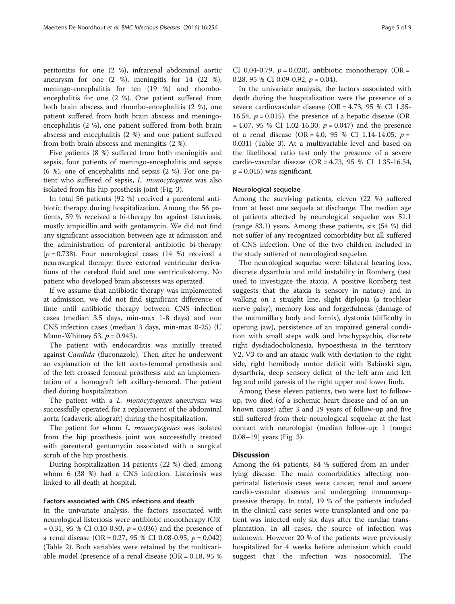peritonitis for one (2 %), infrarenal abdominal aortic aneurysm for one (2 %), meningitis for 14 (22 %), meningo-encephalitis for ten (19 %) and rhomboencephalitis for one (2 %). One patient suffered from both brain abscess and rhombo-encephalitis (2 %), one patient suffered from both brain abscess and meningoencephalitis (2 %), one patient suffered from both brain abscess and encephalitis (2 %) and one patient suffered from both brain abscess and meningitis (2 %).

Five patients (8 %) suffered from both meningitis and sepsis, four patients of meningo-encephalitis and sepsis (6 %), one of encephalitis and sepsis (2 %). For one patient who suffered of sepsis, L. monocytogenes was also isolated from his hip prosthesis joint (Fig. [3](#page-3-0)).

In total 56 patients (92 %) received a parenteral antibiotic therapy during hospitalization. Among the 56 patients, 59 % received a bi-therapy for against listeriosis, mostly ampicillin and with gentamycin. We did not find any significant association between age at admission and the administration of parenteral antibiotic bi-therapy  $(p = 0.738)$ . Four neurological cases  $(14 \%)$  received a neurosurgical therapy: three external ventricular derivations of the cerebral fluid and one ventriculostomy. No patient who developed brain abscesses was operated.

If we assume that antibiotic therapy was implemented at admission, we did not find significant difference of time until antibiotic therapy between CNS infection cases (median 3.5 days, min-max 1-8 days) and non CNS infection cases (median 3 days, min-max 0-25) (U Mann-Whitney 53,  $p = 0.943$ ).

The patient with endocarditis was initially treated against Candida (fluconazole). Then after he underwent an explanation of the left aorto-femoral prosthesis and of the left crossed femoral prosthesis and an implementation of a homograft left axillary-femoral. The patient died during hospitalization.

The patient with a *L. monocytogenes* aneurysm was successfully operated for a replacement of the abdominal aorta (cadaveric allograft) during the hospitalization.

The patient for whom *L. monocytogenes* was isolated from the hip prosthesis joint was successfully treated with parenteral gentamycin associated with a surgical scrub of the hip prosthesis.

During hospitalization 14 patients (22 %) died, among whom 6 (38 %) had a CNS infection. Listeriosis was linked to all death at hospital.

## Factors associated with CNS infections and death

In the univariate analysis, the factors associated with neurological listeriosis were antibiotic monotherapy (OR  $= 0.31, 95 % CI 0.10-0.93, p = 0.036$  and the presence of a renal disease (OR = 0.27, 95 % CI 0.08-0.95,  $p = 0.042$ ) (Table [2](#page-5-0)). Both variables were retained by the multivariable model (presence of a renal disease (OR =  $0.18$ , 95 %)

CI 0.04-0.79,  $p = 0.020$ ), antibiotic monotherapy (OR = 0.28, 95 % CI 0.09-0.92,  $p = 0.04$ ).

In the univariate analysis, the factors associated with death during the hospitalization were the presence of a severe cardiovascular disease (OR = 4.73, 95 % CI 1.35- 16.54,  $p = 0.015$ ), the presence of a hepatic disease (OR  $= 4.07, 95 % CI 1.02-16.30, p = 0.047$  and the presence of a renal disease (OR = 4.0, 95 % CI 1.14-14.05,  $p =$ 0.031) (Table [3](#page-6-0)). At a multivariable level and based on the likelihood ratio test only the presence of a severe cardio-vascular disease (OR = 4.73, 95 % CI 1.35-16.54,  $p = 0.015$ ) was significant.

## Neurological sequelae

Among the surviving patients, eleven (22 %) suffered from at least one sequela at discharge. The median age of patients affected by neurological sequelae was 51.1 (range 83.1) years. Among these patients, six (54 %) did not suffer of any recognized comorbidity but all suffered of CNS infection. One of the two children included in the study suffered of neurological sequelae.

The neurological sequelae were: bilateral hearing loss, discrete dysarthria and mild instability in Romberg (test used to investigate the ataxia. A positive Romberg test suggests that the ataxia is sensory in nature) and in walking on a straight line, slight diplopia (a trochlear nerve palsy), memory loss and forgetfulness (damage of the mammillary body and fornix), dystonia (difficulty in opening jaw), persistence of an impaired general condition with small steps walk and brachypsychie, discrete right dysdiadochokinesia, hypoesthesia in the territory V2, V3 to and an ataxic walk with deviation to the right side, right hemibody motor deficit with Babinski sign, dysarthria, deep sensory deficit of the left arm and left leg and mild paresis of the right upper and lower limb.

Among these eleven patients, two were lost to followup, two died (of a ischemic heart disease and of an unknown cause) after 3 and 19 years of follow-up and five still suffered from their neurological sequelae at the last contact with neurologist (median follow-up: 1 [range: 0.08–19] years (Fig. [3\)](#page-3-0).

## **Discussion**

Among the 64 patients, 84 % suffered from an underlying disease. The main comorbidities affecting nonperinatal listeriosis cases were cancer, renal and severe cardio-vascular diseases and undergoing immunosuppressive therapy. In total, 19 % of the patients included in the clinical case series were transplanted and one patient was infected only six days after the cardiac transplantation. In all cases, the source of infection was unknown. However 20 % of the patients were previously hospitalized for 4 weeks before admission which could suggest that the infection was nosocomial. The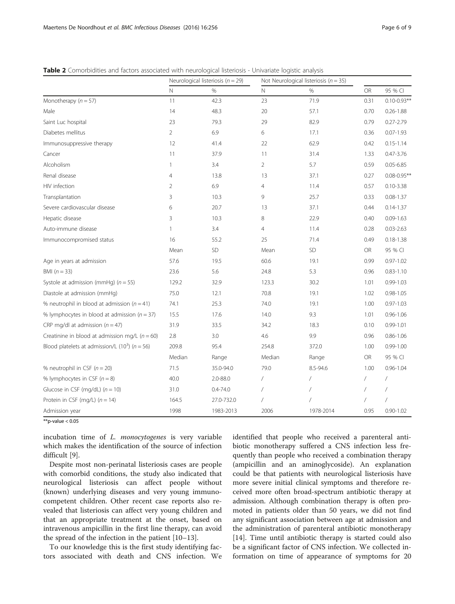<span id="page-5-0"></span>

| <b>Table 2</b> Comorbidities and factors associated with neurological listeriosis - Univariate logistic analysis |  |  |  |  |
|------------------------------------------------------------------------------------------------------------------|--|--|--|--|
|                                                                                                                  |  |  |  |  |

|                                                      | Neurological listeriosis ( $n = 29$ ) |              | Not Neurological listeriosis ( $n = 35$ ) |                |            |                 |
|------------------------------------------------------|---------------------------------------|--------------|-------------------------------------------|----------------|------------|-----------------|
|                                                      | N                                     | $\%$         | $\mathsf{N}$                              | $\%$           | OR         | 95 % CI         |
| Monotherapy ( $n = 57$ )                             | 11                                    | 42.3         | 23                                        | 71.9           | 0.31       | $0.10 - 0.93**$ |
| Male                                                 | 14                                    | 48.3         | 20                                        | 57.1           | 0.70       | $0.26 - 1.88$   |
| Saint Luc hospital                                   | 23                                    | 79.3         | 29                                        | 82.9           | 0.79       | $0.27 - 2.79$   |
| Diabetes mellitus                                    | $\overline{2}$                        | 6.9          | 6                                         | 17.1           | 0.36       | $0.07 - 1.93$   |
| Immunosuppressive therapy                            | 12                                    | 41.4         | 22                                        | 62.9           | 0.42       | $0.15 - 1.14$   |
| Cancer                                               | 11                                    | 37.9         | 11                                        | 31.4           | 1.33       | $0.47 - 3.76$   |
| Alcoholism                                           | 1                                     | 3.4          | $\overline{2}$                            | 5.7            | 0.59       | $0.05 - 6.85$   |
| Renal disease                                        | 4                                     | 13.8         | 13                                        | 37.1           | 0.27       | $0.08 - 0.95**$ |
| HIV infection                                        | $\overline{2}$                        | 6.9          | 4                                         | 11.4           | 0.57       | $0.10 - 3.38$   |
| Transplantation                                      | 3                                     | 10.3         | 9                                         | 25.7           | 0.33       | $0.08 - 1.37$   |
| Severe cardiovascular disease                        | 6                                     | 20.7         | 13                                        | 37.1           | 0.44       | $0.14 - 1.37$   |
| Hepatic disease                                      | 3                                     | 10.3         | 8                                         | 22.9           | 0.40       | $0.09 - 1.63$   |
| Auto-immune disease                                  | $\mathbf{1}$                          | 3.4          | $\overline{4}$                            | 11.4           | 0.28       | $0.03 - 2.63$   |
| Immunocompromised status                             | 16                                    | 55.2         | 25                                        | 71.4           | 0.49       | $0.18 - 1.38$   |
|                                                      | Mean                                  | SD           | Mean                                      | SD             | ${\sf OR}$ | 95 % CI         |
| Age in years at admission                            | 57.6                                  | 19.5         | 60.6                                      | 19.1           | 0.99       | $0.97 - 1.02$   |
| BMI $(n = 33)$                                       | 23.6                                  | 5.6          | 24.8                                      | 5.3            | 0.96       | $0.83 - 1.10$   |
| Systole at admission (mmHg) $(n = 55)$               | 129.2                                 | 32.9         | 123.3                                     | 30.2           | 1.01       | $0.99 - 1.03$   |
| Diastole at admission (mmHg)                         | 75.0                                  | 12.1         | 70.8                                      | 19.1           | 1.02       | $0.98 - 1.05$   |
| % neutrophil in blood at admission ( $n = 41$ )      | 74.1                                  | 25.3         | 74.0                                      | 19.1           | 1.00       | $0.97 - 1.03$   |
| % lymphocytes in blood at admission ( $n = 37$ )     | 15.5                                  | 17.6         | 14.0                                      | 9.3            | 1.01       | $0.96 - 1.06$   |
| CRP mg/dl at admission $(n = 47)$                    | 31.9                                  | 33.5         | 34.2                                      | 18.3           | 0.10       | $0.99 - 1.01$   |
| Creatinine in blood at admission mg/L ( $n = 60$ )   | 2.8                                   | 3.0          | 4.6                                       | 9.9            | 0.96       | $0.86 - 1.06$   |
| Blood platelets at admission/L $(10^3)$ ( $n = 56$ ) | 209.8                                 | 95.4         | 254.8                                     | 372.0          | 1.00       | $0.99 - 1.00$   |
|                                                      | Median                                | Range        | Median                                    | Range          | OR         | 95 % CI         |
| % neutrophil in CSF $(n = 20)$                       | 71.5                                  | 35.0-94.0    | 79.0                                      | 8.5-94.6       | 1.00       | $0.96 - 1.04$   |
| % lymphocytes in CSF $(n = 8)$                       | 40.0                                  | 2.0-88.0     | $\sqrt{2}$                                | $\overline{1}$ | $\sqrt{2}$ | 7               |
| Glucose in CSF (mg/dL) $(n = 10)$                    | 31.0                                  | $0.4 - 74.0$ | $\prime$                                  |                |            |                 |
| Protein in CSF (mg/L) $(n = 14)$                     | 164.5                                 | 27.0-732.0   |                                           |                |            |                 |
| Admission year                                       | 1998                                  | 1983-2013    | 2006                                      | 1978-2014      | 0.95       | $0.90 - 1.02$   |

 $**$ p-value < 0.05

incubation time of L. monocytogenes is very variable which makes the identification of the source of infection difficult [\[9](#page-8-0)].

Despite most non-perinatal listeriosis cases are people with comorbid conditions, the study also indicated that neurological listeriosis can affect people without (known) underlying diseases and very young immunocompetent children. Other recent case reports also revealed that listeriosis can affect very young children and that an appropriate treatment at the onset, based on intravenous ampicillin in the first line therapy, can avoid the spread of the infection in the patient [[10](#page-8-0)–[13\]](#page-8-0).

To our knowledge this is the first study identifying factors associated with death and CNS infection. We

identified that people who received a parenteral antibiotic monotherapy suffered a CNS infection less frequently than people who received a combination therapy (ampicillin and an aminoglycoside). An explanation could be that patients with neurological listeriosis have more severe initial clinical symptoms and therefore received more often broad-spectrum antibiotic therapy at admission. Although combination therapy is often promoted in patients older than 50 years, we did not find any significant association between age at admission and the administration of parenteral antibiotic monotherapy [[14\]](#page-8-0). Time until antibiotic therapy is started could also be a significant factor of CNS infection. We collected information on time of appearance of symptoms for 20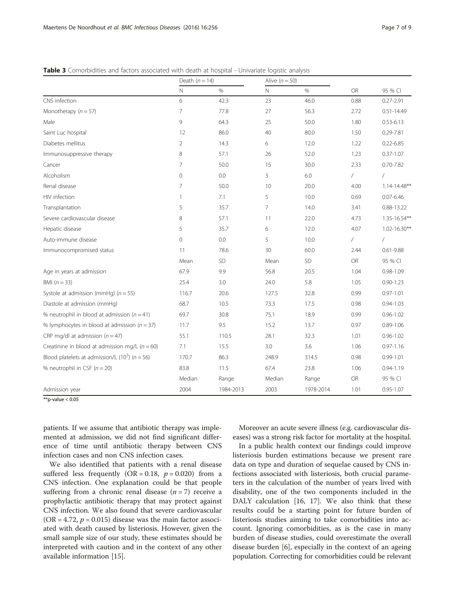<span id="page-6-0"></span>

| <b>Table 3</b> Comorbidities and factors associated with death at hospital - Univariate logistic analysis |  |  |  |  |
|-----------------------------------------------------------------------------------------------------------|--|--|--|--|
|                                                                                                           |  |  |  |  |

|                                                      | Death $(n = 14)$ |           | Alive $(n = 50)$ |           |            |                   |
|------------------------------------------------------|------------------|-----------|------------------|-----------|------------|-------------------|
|                                                      | $\mathsf N$      | $\%$      | $\mathbb N$      | $\%$      | OR         | 95 % CI           |
| CNS infection                                        | 6                | 42.3      | 23               | 46.0      | 0.88       | $0.27 - 2.91$     |
| Monotherapy ( $n = 57$ )                             | 7                | 77.8      | 27               | 56.3      | 2.72       | $0.51 - 14.49$    |
| Male                                                 | 9                | 64.3      | 25               | 50.0      | 1.80       | $0.53 - 6.13$     |
| Saint Luc hospital                                   | 12               | 86.0      | 40               | 80.0      | 1.50       | 0.29-7.81         |
| Diabetes mellitus                                    | $\overline{2}$   | 14.3      | 6                | 12.0      | 1.22       | $0.22 - 6.85$     |
| Immunosuppressive therapy                            | 8                | 57.1      | 26               | 52.0      | 1.23       | $0.37 - 1.07$     |
| Cancer                                               | 7                | 50.0      | 15               | 30.0      | 2.33       | $0.70 - 7.82$     |
| Alcoholism                                           | $\mathbf 0$      | 0.0       | 3                | 6.0       | $\sqrt{2}$ | $\sqrt{2}$        |
| Renal disease                                        | 7                | 50.0      | 10               | 20.0      | 4.00       | $1.14 - 14.48***$ |
| HIV infection                                        | 1                | 7.1       | 5                | 10.0      | 0.69       | $0.07 - 6.46$     |
| Transplantation                                      | 5                | 35.7      | $\overline{7}$   | 14.0      | 3.41       | 0.88-13.22        |
| Severe cardiovascular disease                        | 8                | 57.1      | 11               | 22.0      | 4.73       | $1.35 - 16.54***$ |
| Hepatic disease                                      | 5                | 35.7      | 6                | 12.0      | 4.07       | $1.02 - 16.30**$  |
| Auto-immune disease                                  | $\mathbf 0$      | 0.0       | 5                | 10.0      | $\sqrt{2}$ | $\sqrt{2}$        |
| Immunocompromised status                             | 11               | 78.6      | 30               | 60.0      | 2.44       | $0.61 - 9.88$     |
|                                                      | Mean             | SD        | Mean             | SD        | <b>OR</b>  | 95 % CI           |
| Age in years at admission                            | 67.9             | 9.9       | 56.8             | 20.5      | 1.04       | $0.98 - 1.09$     |
| BMI $(n = 33)$                                       | 25.4             | 3.0       | 24.0             | 5.8       | 1.05       | $0.90 - 1.23$     |
| Systole at admission (mmHg) $(n = 55)$               | 116.7            | 20.6      | 127.5            | 32.8      | 0.99       | $0.97 - 1.01$     |
| Diastole at admission (mmHg)                         | 68.7             | 10.5      | 73.3             | 17.5      | 0.98       | $0.94 - 1.03$     |
| % neutrophil in blood at admission ( $n = 41$ )      | 69.7             | 30.8      | 75.1             | 18.9      | 0.99       | $0.96 - 1.02$     |
| % lymphocytes in blood at admission ( $n = 37$ )     | 11.7             | 9.5       | 15.2             | 13.7      | 0.97       | $0.89 - 1.06$     |
| CRP mg/dl at admission $(n = 47)$                    | 55.1             | 110.5     | 28.1             | 32.3      | 1.01       | $0.96 - 1.02$     |
| Creatinine in blood at admission mg/L ( $n = 60$ )   | 7.1              | 15.5      | 3.0              | 3.6       | 1.06       | $0.97 - 1.16$     |
| Blood platelets at admission/L $(10^3)$ ( $n = 56$ ) | 170.7            | 86.3      | 248.9            | 314.5     | 0.98       | $0.99 - 1.01$     |
| % neutrophil in CSF $(n = 20)$                       | 83.8             | 11.5      | 67.4             | 23.8      | 1.06       | $0.94 - 1.19$     |
|                                                      | Median           | Range     | Median           | Range     | OR         | 95 % CI           |
| Admission year                                       | 2004             | 1984-2013 | 2003             | 1978-2014 | 1.01       | $0.95 - 1.07$     |

\*\*p-value < 0.05

patients. If we assume that antibiotic therapy was implemented at admission, we did not find significant difference of time until antibiotic therapy between CNS infection cases and non CNS infection cases.

We also identified that patients with a renal disease suffered less frequently (OR = 0.18,  $p = 0.020$ ) from a CNS infection. One explanation could be that people suffering from a chronic renal disease  $(n = 7)$  receive a prophylactic antibiotic therapy that may protect against CNS infection. We also found that severe cardiovascular (OR = 4.72,  $p = 0.015$ ) disease was the main factor associated with death caused by listeriosis. However, given the small sample size of our study, these estimates should be interpreted with caution and in the context of any other available information [[15\]](#page-8-0).

Moreover an acute severe illness (e.g. cardiovascular diseases) was a strong risk factor for mortality at the hospital.

In a public health context our findings could improve listeriosis burden estimations because we present rare data on type and duration of sequelae caused by CNS infections associated with listeriosis, both crucial parameters in the calculation of the number of years lived with disability, one of the two components included in the DALY calculation [[16, 17\]](#page-8-0). We also think that these results could be a starting point for future burden of listeriosis studies aiming to take comorbidities into account. Ignoring comorbidities, as is the case in many burden of disease studies, could overestimate the overall disease burden [[6\]](#page-7-0), especially in the context of an ageing population. Correcting for comorbidities could be relevant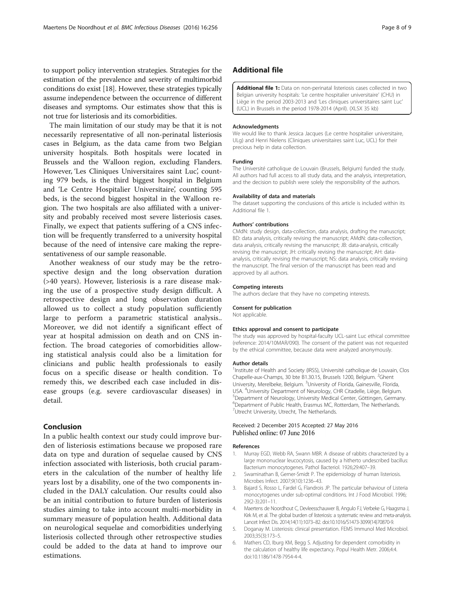<span id="page-7-0"></span>to support policy intervention strategies. Strategies for the estimation of the prevalence and severity of multimorbid conditions do exist [[18](#page-8-0)]. However, these strategies typically assume independence between the occurrence of different diseases and symptoms. Our estimates show that this is not true for listeriosis and its comorbidities.

The main limitation of our study may be that it is not necessarily representative of all non-perinatal listeriosis cases in Belgium, as the data came from two Belgian university hospitals. Both hospitals were located in Brussels and the Walloon region, excluding Flanders. However, 'Les Cliniques Universitaires saint Luc', counting 979 beds, is the third biggest hospital in Belgium and 'Le Centre Hospitalier Universitaire', counting 595 beds, is the second biggest hospital in the Walloon region. The two hospitals are also affiliated with a university and probably received most severe listeriosis cases. Finally, we expect that patients suffering of a CNS infection will be frequently transferred to a university hospital because of the need of intensive care making the representativeness of our sample reasonable.

Another weakness of our study may be the retrospective design and the long observation duration (>40 years). However, listeriosis is a rare disease making the use of a prospective study design difficult. A retrospective design and long observation duration allowed us to collect a study population sufficiently large to perform a parametric statistical analysis.. Moreover, we did not identify a significant effect of year at hospital admission on death and on CNS infection. The broad categories of comorbidities allowing statistical analysis could also be a limitation for clinicians and public health professionals to easily focus on a specific disease or health condition. To remedy this, we described each case included in disease groups (e.g. severe cardiovascular diseases) in detail.

## Conclusion

In a public health context our study could improve burden of listeriosis estimations because we proposed rare data on type and duration of sequelae caused by CNS infection associated with listeriosis, both crucial parameters in the calculation of the number of healthy life years lost by a disability, one of the two components included in the DALY calculation. Our results could also be an initial contribution to future burden of listeriosis studies aiming to take into account multi-morbidity in summary measure of population health. Additional data on neurological sequelae and comorbidities underlying listeriosis collected through other retrospective studies could be added to the data at hand to improve our estimations.

## Additional file

[Additional file 1:](dx.doi.org/10.1186/s12879-016-1602-3) Data on non-perinatal listeriosis cases collected in two Belgian university hospitals: 'Le centre hospitalier universitaire' (CHU) in Liège in the period 2003-2013 and 'Les cliniques universitaires saint Luc' (UCL) in Brussels in the period 1978-2014 (April). (XLSX 35 kb)

#### Acknowledgments

We would like to thank Jessica Jacques (Le centre hospitalier universitaire, ULg) and Henri Nielens (Cliniques universitaires saint Luc, UCL) for their precious help in data collection.

#### Funding

The Université catholique de Louvain (Brussels, Belgium) funded the study. All authors had full access to all study data, and the analysis, interpretation, and the decision to publish were solely the responsibility of the authors.

#### Availability of data and materials

The dataset supporting the conclusions of this article is included within its Additional file 1.

#### Authors' contributions

CMdN: study design, data-collection, data analysis, drafting the manuscript; BD: data analysis, critically revising the manuscript; AMdN: data-collection, data analysis, critically revising the manuscript; JB: data-analysis, critically revising the manuscript; JH: critically revising the manuscript; AH: dataanalysis, critically revising the manuscript; NS: data analysis, critically revising the manuscript. The final version of the manuscript has been read and approved by all authors.

#### Competing interests

The authors declare that they have no competing interests.

#### Consent for publication

Not applicable.

## Ethics approval and consent to participate

The study was approved by hospital-faculty UCL-saint Luc ethical committee (reference: 2014/10MAR/090). The consent of the patient was not requested by the ethical committee, because data were analyzed anonymously.

#### Author details

<sup>1</sup>Institute of Health and Society (IRSS), Université catholique de Louvain, Clos Chapelle-aux-Champs, 30 bte B1.30.15, Brussels 1200, Belgium. <sup>2</sup>Ghent University, Merelbeke, Belgium. <sup>3</sup>University of Florida, Gainesville, Florida, USA. <sup>4</sup>University Department of Neurology, CHR Citadelle, Liège, Belgium.<br><sup>5</sup>Department of Neurology, University Medical Center, Göttingen, German Department of Neurology, University Medical Center, Göttingen, Germany. 6 Department of Public Health, Erasmus MC, Rotterdam, The Netherlands. 7 Utrecht University, Utrecht, The Netherlands.

#### Received: 2 December 2015 Accepted: 27 May 2016 Published online: 07 June 2016

#### References

- 1. Murray EGD, Webb RA, Swann MBR. A disease of rabbits characterized by a large mononuclear leucocytosis, caused by a hitherto undescribed bacillus: Bacterium monocytogenes. Pathol Bacteriol. 1926;29:407–39.
- 2. Swaminathan B, Gerner-Smidt P. The epidemiology of human listeriosis. Microbes Infect. 2007;9(10):1236–43.
- 3. Bajard S, Rosso L, Fardel G, Flandrois JP. The particular behaviour of Listeria monocytogenes under sub-optimal conditions. Int J Food Microbiol. 1996; 29(2-3):201–11.
- 4. Maertens de Noordhout C, Devleesschauwer B, Angulo FJ, Verbeke G, Haagsma J, Kirk M, et al. The global burden of listeriosis: a systematic review and meta-analysis. Lancet Infect Dis. 2014;14(11):1073–82. doi:[10.1016/S1473-3099\(14\)70870-9.](http://dx.doi.org/10.1016/S1473-3099(14)70870-9)
- 5. Doganay M. Listeriosis: clinical presentation. FEMS Immunol Med Microbiol. 2003;35(3):173–5.
- 6. Mathers CD, Iburg KM, Begg S. Adjusting for dependent comorbidity in the calculation of healthy life expectancy. Popul Health Metr. 2006;4:4. doi[:10.1186/1478-7954-4-4.](http://dx.doi.org/10.1186/1478-7954-4-4)